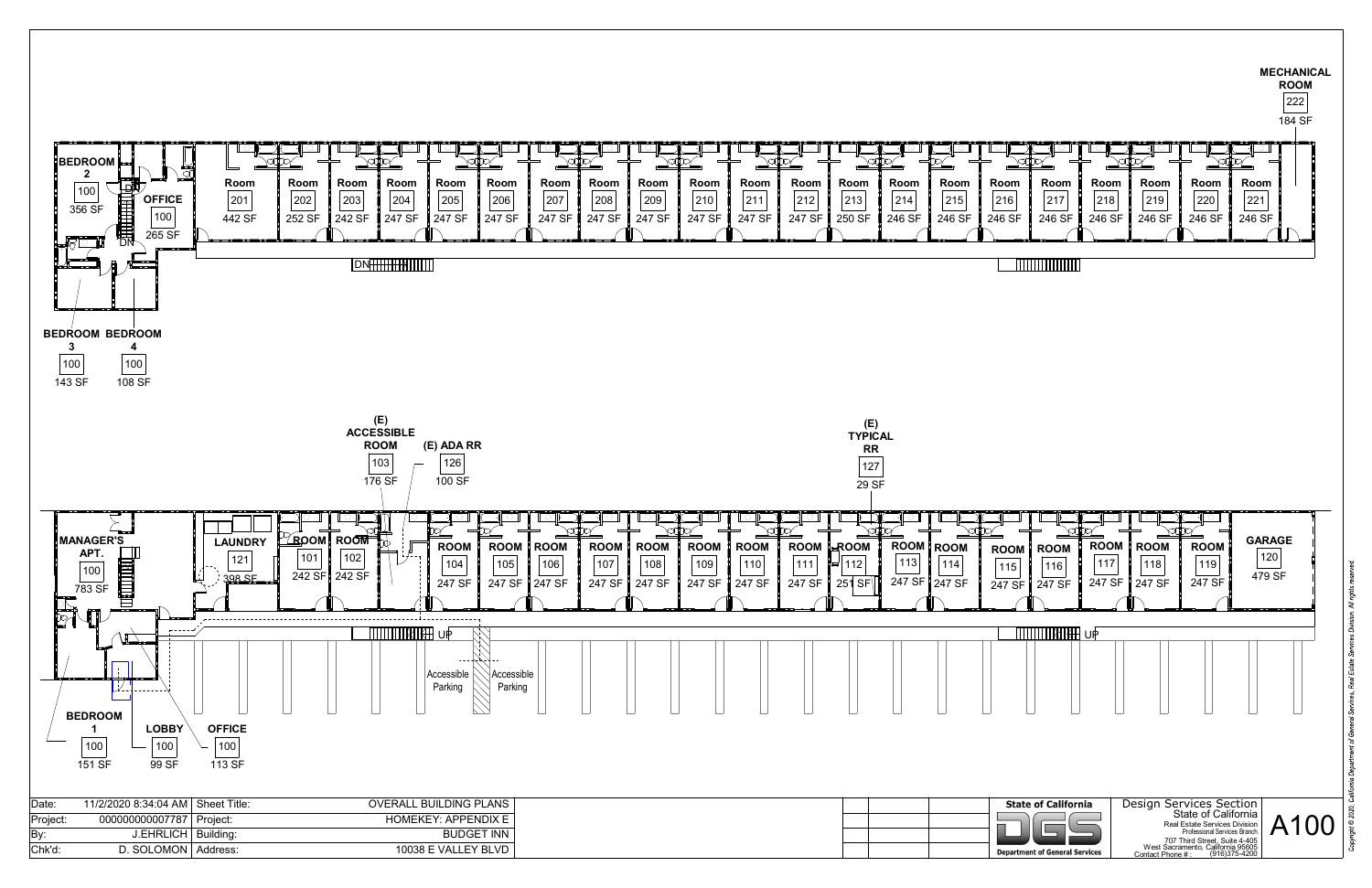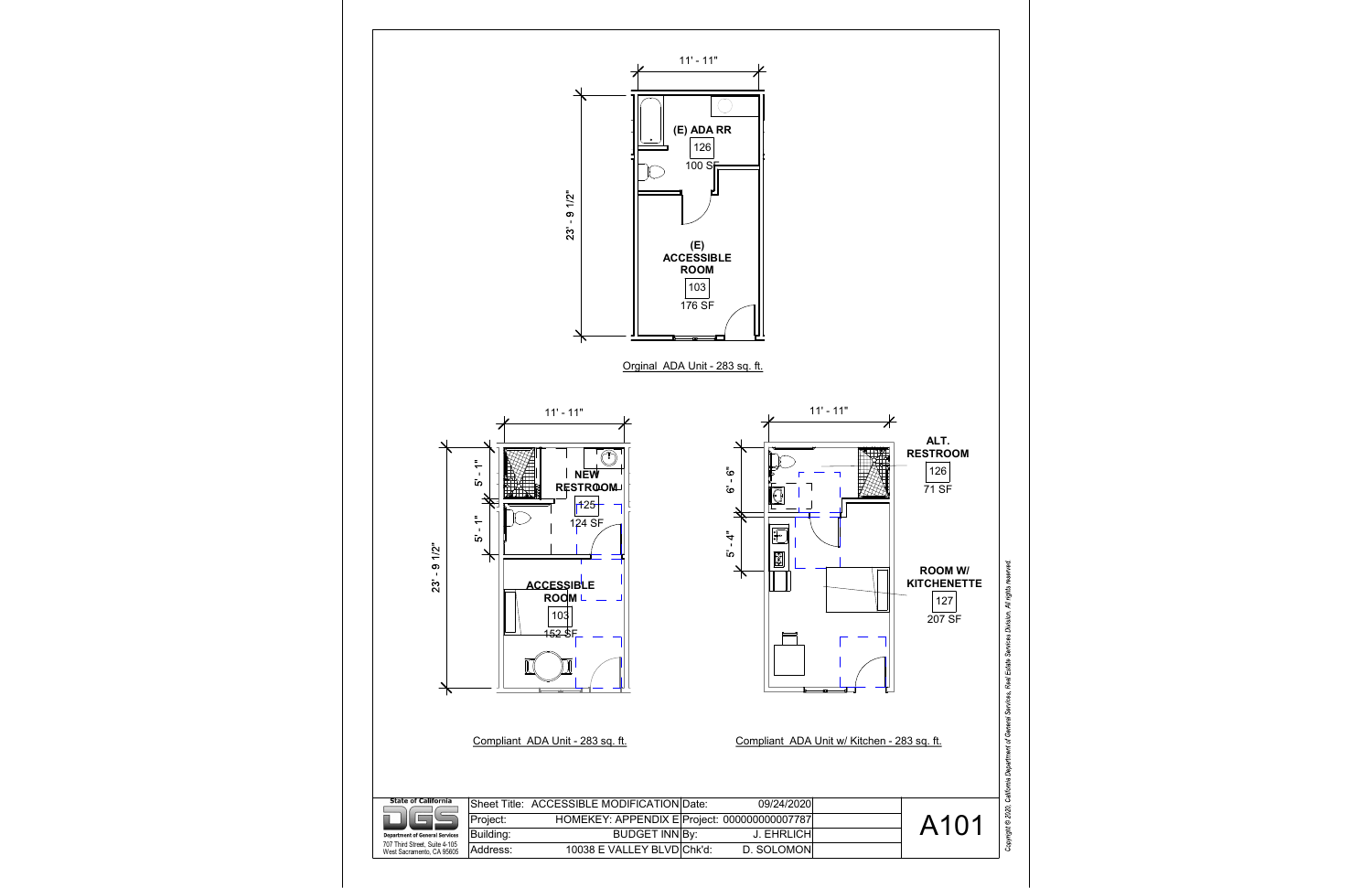